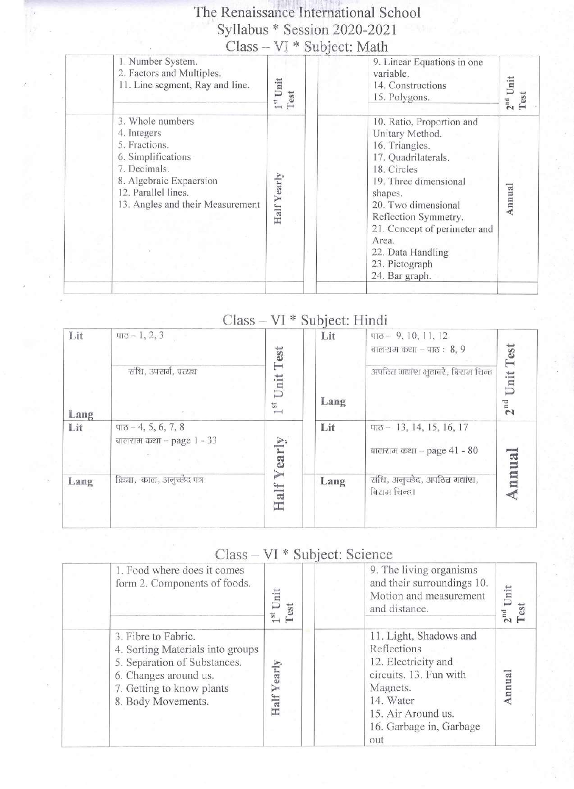# The Renaissance International School  $Syllabus * Session 2020-2021$ <br>Class – VI \* Subject: Math

| 3. Whole numbers<br>10. Ratio, Proportion and<br>4. Integers<br>Unitary Method.<br>5. Fractions.<br>16. Triangles.<br>6. Simplifications<br>17. Quadrilaterals.<br>7. Decimals.<br>18. Circles<br>Yearly<br>8. Algebraic Expaersion<br>19. Three dimensional<br>Annual<br>12. Parallel lines.<br>shapes.<br>13. Angles and their Measurement<br>20. Two dimensional<br>Half<br>Reflection Symmetry.<br>21. Concept of perimeter and<br>Area.<br>22. Data Handling<br>23. Pictograph<br>24. Bar graph. | 1. Number System.<br>2. Factors and Multiples.<br>11. Line segment, Ray and line. | nit<br>Test | 9. Linear Equations in one<br>variable.<br>14. Constructions<br>15. Polygons. | $2nd$ Unit<br>Test |
|-------------------------------------------------------------------------------------------------------------------------------------------------------------------------------------------------------------------------------------------------------------------------------------------------------------------------------------------------------------------------------------------------------------------------------------------------------------------------------------------------------|-----------------------------------------------------------------------------------|-------------|-------------------------------------------------------------------------------|--------------------|
|                                                                                                                                                                                                                                                                                                                                                                                                                                                                                                       |                                                                                   |             |                                                                               |                    |

### Class - VI \* Subject: Hindi

| Lit  | $\pi - 1, 2, 3$                                                            | Test                        | Lit  | $\pi$ <sup>-9</sup> , 10, 11, 12<br>बालराम कथा – पाठ : $8, 9$        | Test                 |
|------|----------------------------------------------------------------------------|-----------------------------|------|----------------------------------------------------------------------|----------------------|
| Lang | संधि, उपसर्ग, प्रत्यच                                                      | Unit<br>st.<br>$\leftarrow$ | Lang | अपठित गद्यांश भुहाबरे, बिराम चिन्ह                                   | Unit<br>$2^{\rm nd}$ |
| Lit  | $\Pi$ <sup><math>-4, 5, 6, 7, 8</math></sup><br>बालराम कथा – page $1 - 33$ | early                       | Lit  | $\pi$ <sub>0</sub> - 13, 14, 15, 16, 17<br>बालराम कथा - page 41 - 80 | ua.                  |
| Lang | क्रिया, काल, अनुच्छेद पत्र                                                 | ➢<br>Half                   | Lang | संधि, अनुच्छेद, अपठित गद्यांश,<br>बिराम चिन्ह।                       | nn                   |

### Class - VI \* Subject: Science

| 1. Food where does it comes<br>form 2. Components of foods.                                                                                                         | 湍<br>est<br>$\vdash$ | 9. The living organisms<br>and their surroundings 10.<br>Motion and measurement<br>and distance.                                                                        | Unit<br>$2^{\rm nd}$ |
|---------------------------------------------------------------------------------------------------------------------------------------------------------------------|----------------------|-------------------------------------------------------------------------------------------------------------------------------------------------------------------------|----------------------|
| 3. Fibre to Fabric.<br>4. Sorting Materials into groups<br>5. Separation of Substances.<br>6. Changes around us.<br>7. Getting to know plants<br>8. Body Movements. | early<br>Half        | 11. Light, Shadows and<br>Reflections<br>12. Electricity and<br>circuits. 13. Fun with<br>Magnets.<br>14. Water<br>15. Air Around us.<br>16. Garbage in, Garbage<br>out |                      |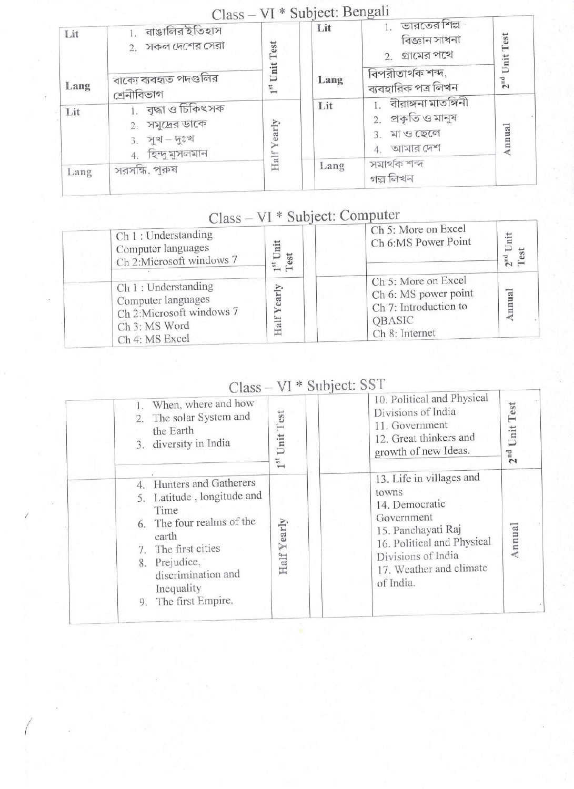| Lit  | $U$ ( $d$ $D$ $D - V$ )<br>বাঙালির ইতিহাস<br>সকল দেশের সেরা<br>2.             | Test                               | UU VVI<br>Lit | ভারতের শিল্প -<br>বিজ্ঞান সাধনা<br>গ্রামের পথে<br>2.               | $2nd$ Unit Test |
|------|-------------------------------------------------------------------------------|------------------------------------|---------------|--------------------------------------------------------------------|-----------------|
| Lang | বাক্যে ব্যবহৃত পদগুলির<br>শ্ৰেনীবিভাগ                                         | Unit<br>$\mathbb{I}^{\mathrm{st}}$ | Lang          | বিপরীতার্থক শব্দ,<br>ব্যবহারিক পত্র লিখন                           |                 |
| Lit  | 1. বৃদ্ধা ও চিকিৎসক<br>সমুদ্রের ডাকে<br>2.<br>$3.$ সুখ-দুঃখ<br>হিন্দু মুসলমান | Half Yearly                        | Lit           | বীরাঙ্গনা মাতঙ্গিনী<br>প্ৰকৃতি ও মানুষ<br>মা ও ছেলে<br>4. আমার দেশ | Annual          |
| Lang | সরসন্ধি, পুরুষ                                                                |                                    | Lang          | সমাৰ্থক শব্দ<br>গল্প লিখন                                          |                 |

#### VI \* Subject: Bengali  $C<sub>l</sub>$ acc

# Class - VI \* Subject: Computer

| Ch 1 : Understanding<br>Computer languages<br>Ch 2:Microsoft windows 7                                    | iit<br>$\overline{D}$<br>Test<br>53 | Ch 5: More on Excel<br>Ch 6:MS Power Point                                                              | Jnit<br>$2nd$ I<br>Test |
|-----------------------------------------------------------------------------------------------------------|-------------------------------------|---------------------------------------------------------------------------------------------------------|-------------------------|
| Ch 1 : Understanding<br>Computer languages<br>Ch 2:Microsoft windows 7<br>Ch 3: MS Word<br>Ch 4: MS Excel | $\frac{1}{2}$                       | Ch 5: More on Excel<br>Ch 6: MS power point<br>Ch 7: Introduction to<br><b>OBASIC</b><br>Ch 8: Internet | nnual                   |

# Class - VI \* Subject: SST

|    | When, where and how<br>2. The solar System and<br>the Earth<br>3. diversity in India                                                                                                                  | est<br>Ë<br>Unit                | 10. Political and Physical<br>Divisions of India<br>11. Government<br>12. Great thinkers and<br>growth of new Ideas.                                                                | Unit Test<br>$2^{\rm nd}$ |
|----|-------------------------------------------------------------------------------------------------------------------------------------------------------------------------------------------------------|---------------------------------|-------------------------------------------------------------------------------------------------------------------------------------------------------------------------------------|---------------------------|
| 9. | 4. Hunters and Gatherers<br>5. Latitude, longitude and<br>Time<br>6. The four realms of the<br>earth<br>7. The first cities<br>8. Prejudice,<br>discrimination and<br>Inequality<br>The first Empire. | early<br>⋝<br>Half <sup>®</sup> | 13. Life in villages and<br>towns<br>14. Democratic<br>Government<br>15. Panchayati Raj<br>16. Political and Physical<br>Divisions of India<br>17. Weather and climate<br>of India. | Annual                    |